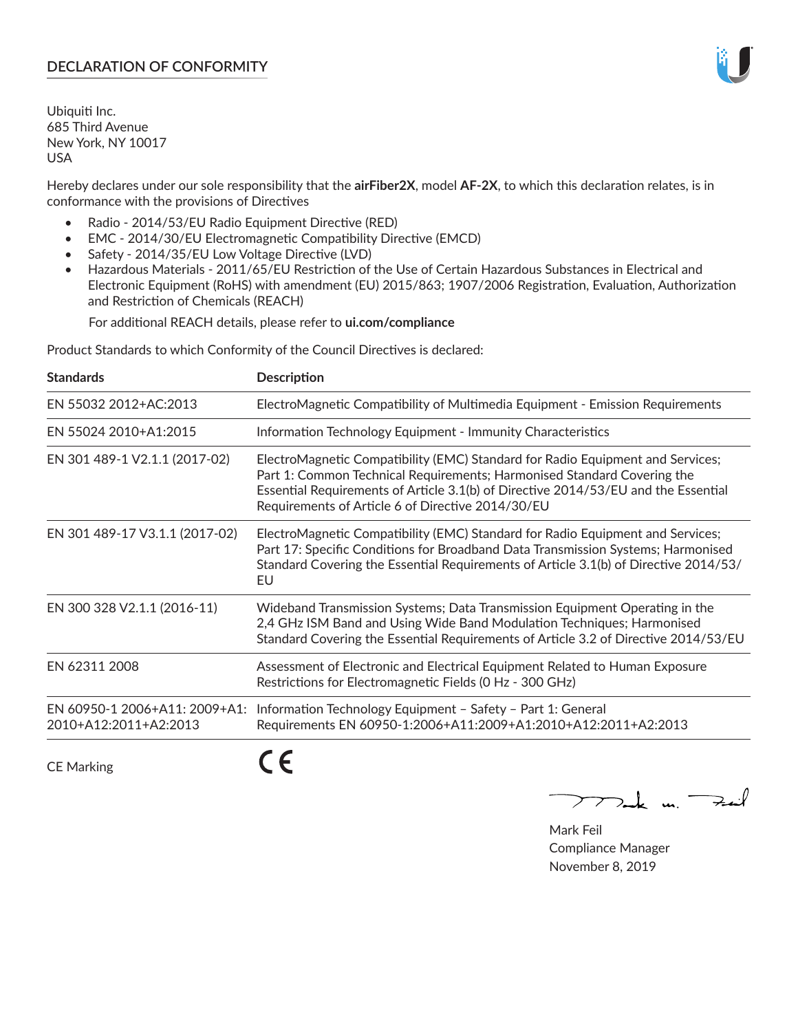## **DECLARATION OF CONFORMITY**

Ubiquiti Inc. 685 Third Avenue New York, NY 10017 USA

Hereby declares under our sole responsibility that the **airFiber2X**, model **AF-2X**, to which this declaration relates, is in conformance with the provisions of Directives

- Radio 2014/53/EU Radio Equipment Directive (RED)
- EMC 2014/30/EU Electromagnetic Compatibility Directive (EMCD)
- Safety 2014/35/EU Low Voltage Directive (LVD)
- Hazardous Materials 2011/65/EU Restriction of the Use of Certain Hazardous Substances in Electrical and Electronic Equipment (RoHS) with amendment (EU) 2015/863; 1907/2006 Registration, Evaluation, Authorization and Restriction of Chemicals (REACH)

For additional REACH details, please refer to **ui.com/compliance**

Product Standards to which Conformity of the Council Directives is declared:

| <b>Standards</b>                                       | <b>Description</b>                                                                                                                                                                                                                                                                                   |
|--------------------------------------------------------|------------------------------------------------------------------------------------------------------------------------------------------------------------------------------------------------------------------------------------------------------------------------------------------------------|
| EN 55032 2012+AC:2013                                  | ElectroMagnetic Compatibility of Multimedia Equipment - Emission Requirements                                                                                                                                                                                                                        |
| EN 55024 2010+A1:2015                                  | Information Technology Equipment - Immunity Characteristics                                                                                                                                                                                                                                          |
| EN 301 489-1 V2.1.1 (2017-02)                          | ElectroMagnetic Compatibility (EMC) Standard for Radio Equipment and Services;<br>Part 1: Common Technical Requirements; Harmonised Standard Covering the<br>Essential Requirements of Article 3.1(b) of Directive 2014/53/EU and the Essential<br>Requirements of Article 6 of Directive 2014/30/EU |
| EN 301 489-17 V3.1.1 (2017-02)                         | ElectroMagnetic Compatibility (EMC) Standard for Radio Equipment and Services;<br>Part 17: Specific Conditions for Broadband Data Transmission Systems; Harmonised<br>Standard Covering the Essential Requirements of Article 3.1(b) of Directive 2014/53/<br>EU                                     |
| EN 300 328 V2.1.1 (2016-11)                            | Wideband Transmission Systems; Data Transmission Equipment Operating in the<br>2,4 GHz ISM Band and Using Wide Band Modulation Techniques; Harmonised<br>Standard Covering the Essential Requirements of Article 3.2 of Directive 2014/53/EU                                                         |
| EN 62311 2008                                          | Assessment of Electronic and Electrical Equipment Related to Human Exposure<br>Restrictions for Electromagnetic Fields (0 Hz - 300 GHz)                                                                                                                                                              |
| EN 60950-1 2006+A11: 2009+A1:<br>2010+A12:2011+A2:2013 | Information Technology Equipment - Safety - Part 1: General<br>Requirements EN 60950-1:2006+A11:2009+A1:2010+A12:2011+A2:2013                                                                                                                                                                        |
|                                                        |                                                                                                                                                                                                                                                                                                      |

CE Marking

CE

 $\nabla$ ock un  $\rightarrow$ cil  $\mathop{\sum\mathrm{ }}$ 

Mark Feil Compliance Manager November 8, 2019

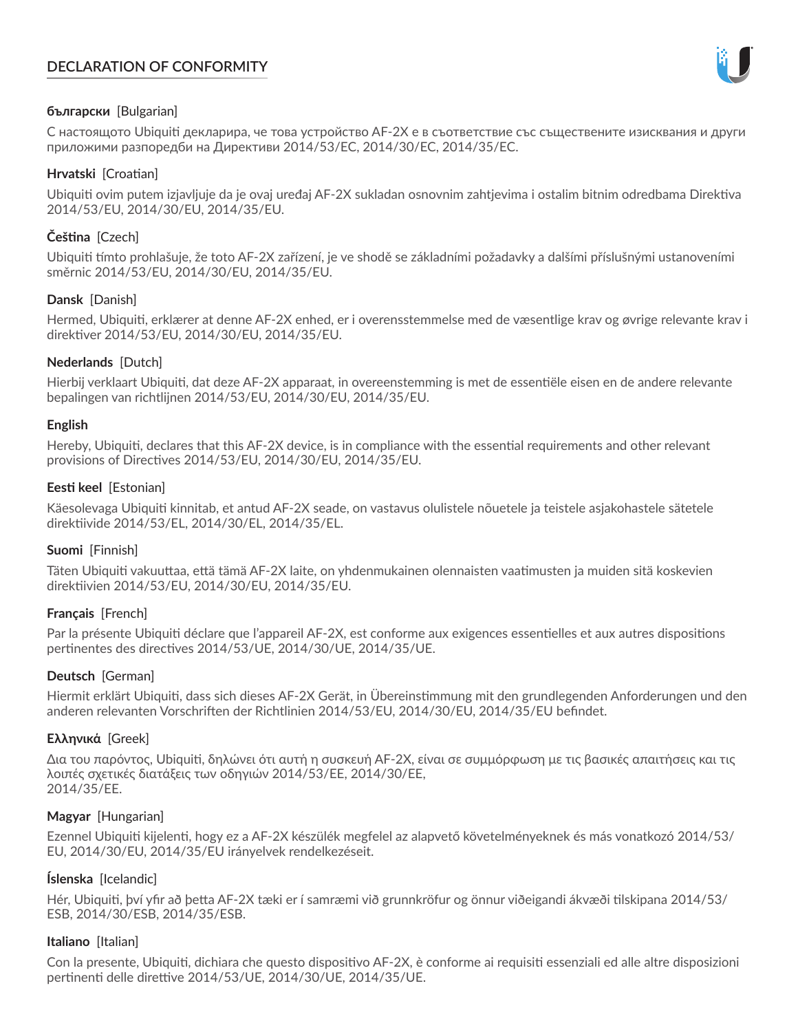# **DECLARATION OF CONFORMITY**



### **български** [Bulgarian]

С настоящото Ubiquiti декларира, че това устройство AF-2X е в съответствие със съществените изисквания и други приложими разпоредби на Директиви 2014/53/EC, 2014/30/ЕС, 2014/35/ЕС.

### **Hrvatski** [Croatian]

Ubiquiti ovim putem izjavljuje da je ovaj uređaj AF-2X sukladan osnovnim zahtjevima i ostalim bitnim odredbama Direktiva 2014/53/EU, 2014/30/EU, 2014/35/EU.

# **Čeština** [Czech]

Ubiquiti tímto prohlašuje, že toto AF-2X zařízení, je ve shodě se základními požadavky a dalšími příslušnými ustanoveními směrnic 2014/53/EU, 2014/30/EU, 2014/35/EU.

### **Dansk** [Danish]

Hermed, Ubiquiti, erklærer at denne AF-2X enhed, er i overensstemmelse med de væsentlige krav og øvrige relevante krav i direktiver 2014/53/EU, 2014/30/EU, 2014/35/EU.

### **Nederlands** [Dutch]

Hierbij verklaart Ubiquiti, dat deze AF-2X apparaat, in overeenstemming is met de essentiële eisen en de andere relevante bepalingen van richtlijnen 2014/53/EU, 2014/30/EU, 2014/35/EU.

### **English**

Hereby, Ubiquiti, declares that this AF-2X device, is in compliance with the essential requirements and other relevant provisions of Directives 2014/53/EU, 2014/30/EU, 2014/35/EU.

## **Eesti keel** [Estonian]

Käesolevaga Ubiquiti kinnitab, et antud AF-2X seade, on vastavus olulistele nõuetele ja teistele asjakohastele sätetele direktiivide 2014/53/EL, 2014/30/EL, 2014/35/EL.

### **Suomi** [Finnish]

Täten Ubiquiti vakuuttaa, että tämä AF-2X laite, on yhdenmukainen olennaisten vaatimusten ja muiden sitä koskevien direktiivien 2014/53/EU, 2014/30/EU, 2014/35/EU.

### **Français** [French]

Par la présente Ubiquiti déclare que l'appareil AF-2X, est conforme aux exigences essentielles et aux autres dispositions pertinentes des directives 2014/53/UE, 2014/30/UE, 2014/35/UE.

### **Deutsch** [German]

Hiermit erklärt Ubiquiti, dass sich dieses AF-2X Gerät, in Übereinstimmung mit den grundlegenden Anforderungen und den anderen relevanten Vorschriften der Richtlinien 2014/53/EU, 2014/30/EU, 2014/35/EU befindet.

### **Ελληνικά** [Greek]

Δια του παρόντος, Ubiquiti, δηλώνει ότι αυτή η συσκευή AF-2X, είναι σε συμμόρφωση με τις βασικές απαιτήσεις και τις λοιπές σχετικές διατάξεις των οδηγιών 2014/53/EE, 2014/30/EE, 2014/35/EE.

### **Magyar** [Hungarian]

Ezennel Ubiquiti kijelenti, hogy ez a AF-2X készülék megfelel az alapvető követelményeknek és más vonatkozó 2014/53/ EU, 2014/30/EU, 2014/35/EU irányelvek rendelkezéseit.

### **Íslenska** [Icelandic]

Hér, Ubiquiti, því yfir að þetta AF-2X tæki er í samræmi við grunnkröfur og önnur viðeigandi ákvæði tilskipana 2014/53/ ESB, 2014/30/ESB, 2014/35/ESB.

### **Italiano** [Italian]

Con la presente, Ubiquiti, dichiara che questo dispositivo AF-2X, è conforme ai requisiti essenziali ed alle altre disposizioni pertinenti delle direttive 2014/53/UE, 2014/30/UE, 2014/35/UE.